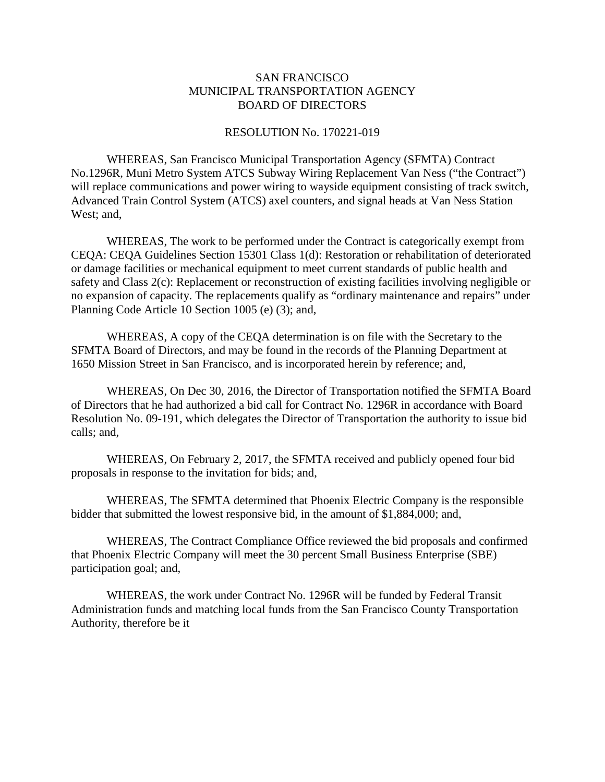## SAN FRANCISCO MUNICIPAL TRANSPORTATION AGENCY BOARD OF DIRECTORS

## RESOLUTION No. 170221-019

WHEREAS, San Francisco Municipal Transportation Agency (SFMTA) Contract No.1296R, Muni Metro System ATCS Subway Wiring Replacement Van Ness ("the Contract") will replace communications and power wiring to wayside equipment consisting of track switch, Advanced Train Control System (ATCS) axel counters, and signal heads at Van Ness Station West; and,

WHEREAS, The work to be performed under the Contract is categorically exempt from CEQA: CEQA Guidelines Section 15301 Class 1(d): Restoration or rehabilitation of deteriorated or damage facilities or mechanical equipment to meet current standards of public health and safety and Class 2(c): Replacement or reconstruction of existing facilities involving negligible or no expansion of capacity. The replacements qualify as "ordinary maintenance and repairs" under Planning Code Article 10 Section 1005 (e) (3); and,

WHEREAS, A copy of the CEQA determination is on file with the Secretary to the SFMTA Board of Directors, and may be found in the records of the Planning Department at 1650 Mission Street in San Francisco, and is incorporated herein by reference; and,

WHEREAS, On Dec 30, 2016, the Director of Transportation notified the SFMTA Board of Directors that he had authorized a bid call for Contract No. 1296R in accordance with Board Resolution No. 09-191, which delegates the Director of Transportation the authority to issue bid calls; and,

WHEREAS, On February 2, 2017, the SFMTA received and publicly opened four bid proposals in response to the invitation for bids; and,

WHEREAS, The SFMTA determined that Phoenix Electric Company is the responsible bidder that submitted the lowest responsive bid, in the amount of \$1,884,000; and,

WHEREAS, The Contract Compliance Office reviewed the bid proposals and confirmed that Phoenix Electric Company will meet the 30 percent Small Business Enterprise (SBE) participation goal; and,

WHEREAS, the work under Contract No. 1296R will be funded by Federal Transit Administration funds and matching local funds from the San Francisco County Transportation Authority, therefore be it